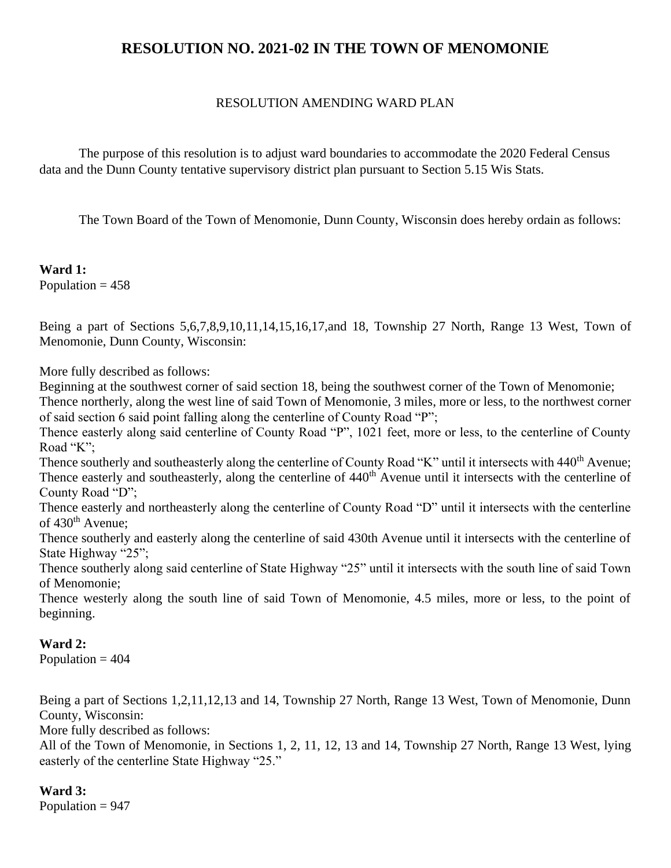# **RESOLUTION NO. 2021-02 IN THE TOWN OF MENOMONIE**

### RESOLUTION AMENDING WARD PLAN

The purpose of this resolution is to adjust ward boundaries to accommodate the 2020 Federal Census data and the Dunn County tentative supervisory district plan pursuant to Section 5.15 Wis Stats.

The Town Board of the Town of Menomonie, Dunn County, Wisconsin does hereby ordain as follows:

**Ward 1:** Population  $= 458$ 

Being a part of Sections 5,6,7,8,9,10,11,14,15,16,17,and 18, Township 27 North, Range 13 West, Town of Menomonie, Dunn County, Wisconsin:

More fully described as follows:

Beginning at the southwest corner of said section 18, being the southwest corner of the Town of Menomonie;

Thence northerly, along the west line of said Town of Menomonie, 3 miles, more or less, to the northwest corner of said section 6 said point falling along the centerline of County Road "P";

Thence easterly along said centerline of County Road "P", 1021 feet, more or less, to the centerline of County Road "K";

Thence southerly and southeasterly along the centerline of County Road "K" until it intersects with 440<sup>th</sup> Avenue; Thence easterly and southeasterly, along the centerline of 440<sup>th</sup> Avenue until it intersects with the centerline of County Road "D";

Thence easterly and northeasterly along the centerline of County Road "D" until it intersects with the centerline of  $430<sup>th</sup>$  Avenue;

Thence southerly and easterly along the centerline of said 430th Avenue until it intersects with the centerline of State Highway "25";

Thence southerly along said centerline of State Highway "25" until it intersects with the south line of said Town of Menomonie;

Thence westerly along the south line of said Town of Menomonie, 4.5 miles, more or less, to the point of beginning.

# **Ward 2:**

Population  $= 404$ 

Being a part of Sections 1,2,11,12,13 and 14, Township 27 North, Range 13 West, Town of Menomonie, Dunn County, Wisconsin:

More fully described as follows:

All of the Town of Menomonie, in Sections 1, 2, 11, 12, 13 and 14, Township 27 North, Range 13 West, lying easterly of the centerline State Highway "25."

**Ward 3:** Population  $= 947$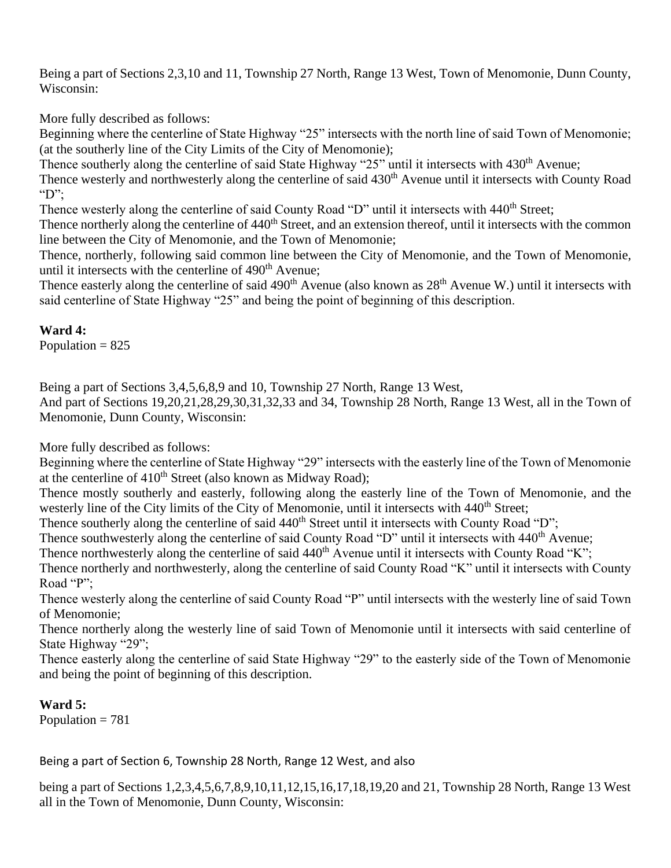Being a part of Sections 2,3,10 and 11, Township 27 North, Range 13 West, Town of Menomonie, Dunn County, Wisconsin:

More fully described as follows:

Beginning where the centerline of State Highway "25" intersects with the north line of said Town of Menomonie; (at the southerly line of the City Limits of the City of Menomonie);

Thence southerly along the centerline of said State Highway "25" until it intersects with 430<sup>th</sup> Avenue;

Thence westerly and northwesterly along the centerline of said 430<sup>th</sup> Avenue until it intersects with County Road "D";

Thence westerly along the centerline of said County Road "D" until it intersects with 440<sup>th</sup> Street;

Thence northerly along the centerline of 440<sup>th</sup> Street, and an extension thereof, until it intersects with the common line between the City of Menomonie, and the Town of Menomonie;

Thence, northerly, following said common line between the City of Menomonie, and the Town of Menomonie, until it intersects with the centerline of  $490<sup>th</sup>$  Avenue;

Thence easterly along the centerline of said 490<sup>th</sup> Avenue (also known as 28<sup>th</sup> Avenue W.) until it intersects with said centerline of State Highway "25" and being the point of beginning of this description.

# **Ward 4:**

Population  $= 825$ 

Being a part of Sections 3,4,5,6,8,9 and 10, Township 27 North, Range 13 West,

And part of Sections 19,20,21,28,29,30,31,32,33 and 34, Township 28 North, Range 13 West, all in the Town of Menomonie, Dunn County, Wisconsin:

More fully described as follows:

Beginning where the centerline of State Highway "29" intersects with the easterly line of the Town of Menomonie at the centerline of  $410<sup>th</sup>$  Street (also known as Midway Road);

Thence mostly southerly and easterly, following along the easterly line of the Town of Menomonie, and the westerly line of the City limits of the City of Menomonie, until it intersects with 440<sup>th</sup> Street;

Thence southerly along the centerline of said 440<sup>th</sup> Street until it intersects with County Road "D";

Thence southwesterly along the centerline of said County Road "D" until it intersects with 440<sup>th</sup> Avenue;

Thence northwesterly along the centerline of said  $440<sup>th</sup>$  Avenue until it intersects with County Road "K";

Thence northerly and northwesterly, along the centerline of said County Road "K" until it intersects with County Road "P";

Thence westerly along the centerline of said County Road "P" until intersects with the westerly line of said Town of Menomonie;

Thence northerly along the westerly line of said Town of Menomonie until it intersects with said centerline of State Highway "29";

Thence easterly along the centerline of said State Highway "29" to the easterly side of the Town of Menomonie and being the point of beginning of this description.

#### **Ward 5:**

Population  $= 781$ 

Being a part of Section 6, Township 28 North, Range 12 West, and also

being a part of Sections 1,2,3,4,5,6,7,8,9,10,11,12,15,16,17,18,19,20 and 21, Township 28 North, Range 13 West all in the Town of Menomonie, Dunn County, Wisconsin: